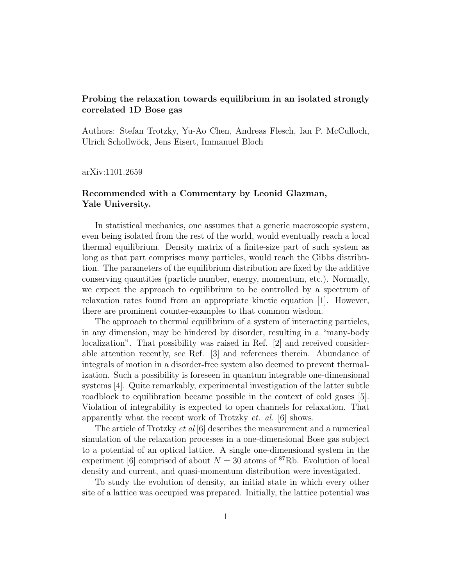## Probing the relaxation towards equilibrium in an isolated strongly correlated 1D Bose gas

Authors: Stefan Trotzky, Yu-Ao Chen, Andreas Flesch, Ian P. McCulloch, Ulrich Schollw¨ock, Jens Eisert, Immanuel Bloch

arXiv:1101.2659

## Recommended with a Commentary by Leonid Glazman, Yale University.

In statistical mechanics, one assumes that a generic macroscopic system, even being isolated from the rest of the world, would eventually reach a local thermal equilibrium. Density matrix of a finite-size part of such system as long as that part comprises many particles, would reach the Gibbs distribution. The parameters of the equilibrium distribution are fixed by the additive conserving quantities (particle number, energy, momentum, etc.). Normally, we expect the approach to equilibrium to be controlled by a spectrum of relaxation rates found from an appropriate kinetic equation [1]. However, there are prominent counter-examples to that common wisdom.

The approach to thermal equilibrium of a system of interacting particles, in any dimension, may be hindered by disorder, resulting in a "many-body localization". That possibility was raised in Ref. [2] and received considerable attention recently, see Ref. [3] and references therein. Abundance of integrals of motion in a disorder-free system also deemed to prevent thermalization. Such a possibility is foreseen in quantum integrable one-dimensional systems [4]. Quite remarkably, experimental investigation of the latter subtle roadblock to equilibration became possible in the context of cold gases [5]. Violation of integrability is expected to open channels for relaxation. That apparently what the recent work of Trotzky et. al. [6] shows.

The article of Trotzky *et al* [6] describes the measurement and a numerical simulation of the relaxation processes in a one-dimensional Bose gas subject to a potential of an optical lattice. A single one-dimensional system in the experiment [6] comprised of about  $N = 30$  atoms of <sup>87</sup>Rb. Evolution of local density and current, and quasi-momentum distribution were investigated.

To study the evolution of density, an initial state in which every other site of a lattice was occupied was prepared. Initially, the lattice potential was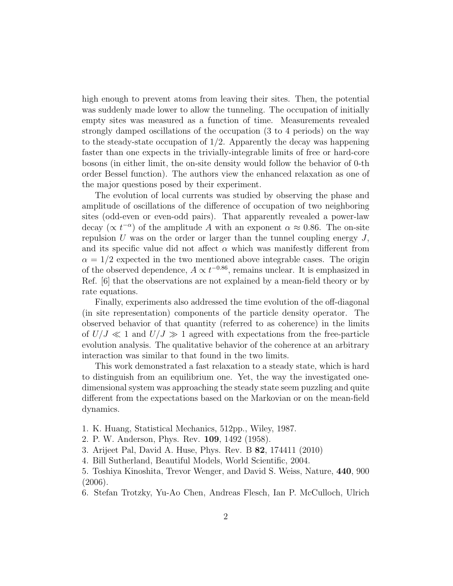high enough to prevent atoms from leaving their sites. Then, the potential was suddenly made lower to allow the tunneling. The occupation of initially empty sites was measured as a function of time. Measurements revealed strongly damped oscillations of the occupation (3 to 4 periods) on the way to the steady-state occupation of  $1/2$ . Apparently the decay was happening faster than one expects in the trivially-integrable limits of free or hard-core bosons (in either limit, the on-site density would follow the behavior of 0-th order Bessel function). The authors view the enhanced relaxation as one of the major questions posed by their experiment.

The evolution of local currents was studied by observing the phase and amplitude of oscillations of the difference of occupation of two neighboring sites (odd-even or even-odd pairs). That apparently revealed a power-law decay ( $\propto t^{-\alpha}$ ) of the amplitude A with an exponent  $\alpha \approx 0.86$ . The on-site repulsion U was on the order or larger than the tunnel coupling energy  $J$ , and its specific value did not affect  $\alpha$  which was manifestly different from  $\alpha = 1/2$  expected in the two mentioned above integrable cases. The origin of the observed dependence,  $A \propto t^{-0.86}$ , remains unclear. It is emphasized in Ref. [6] that the observations are not explained by a mean-field theory or by rate equations.

Finally, experiments also addressed the time evolution of the off-diagonal (in site representation) components of the particle density operator. The observed behavior of that quantity (referred to as coherence) in the limits of  $U/J \ll 1$  and  $U/J \gg 1$  agreed with expectations from the free-particle evolution analysis. The qualitative behavior of the coherence at an arbitrary interaction was similar to that found in the two limits.

This work demonstrated a fast relaxation to a steady state, which is hard to distinguish from an equilibrium one. Yet, the way the investigated onedimensional system was approaching the steady state seem puzzling and quite different from the expectations based on the Markovian or on the mean-field dynamics.

- 1. K. Huang, Statistical Mechanics, 512pp., Wiley, 1987.
- 2. P. W. Anderson, Phys. Rev. 109, 1492 (1958).
- 3. Arijeet Pal, David A. Huse, Phys. Rev. B 82, 174411 (2010)
- 4. Bill Sutherland, Beautiful Models, World Scientific, 2004.
- 5. Toshiya Kinoshita, Trevor Wenger, and David S. Weiss, Nature, 440, 900 (2006).
- 6. Stefan Trotzky, Yu-Ao Chen, Andreas Flesch, Ian P. McCulloch, Ulrich